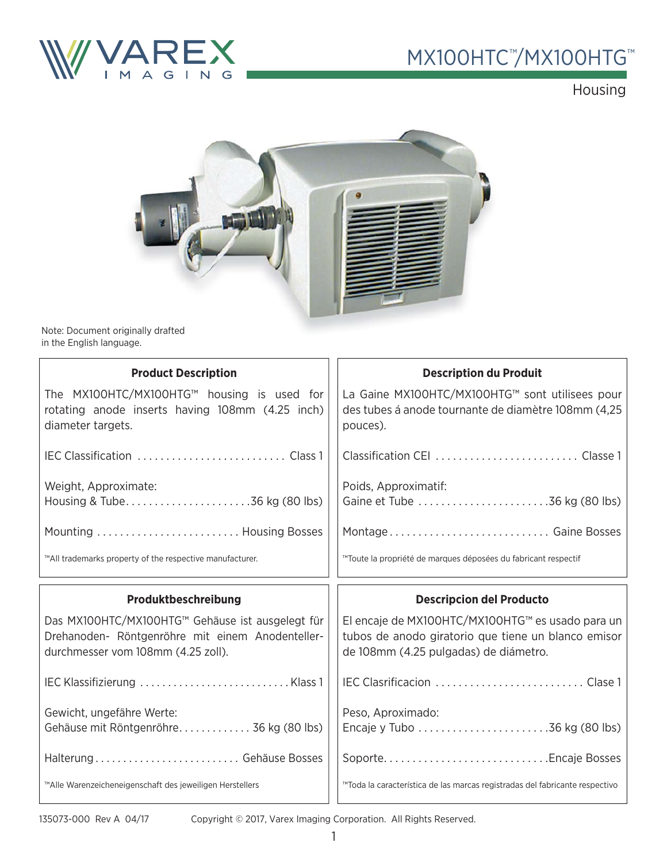

## MX100HTC<sup>™</sup>/MX100HTG™

Housing



Note: Document originally drafted in the English language.

| <b>Product Description</b>                                                                                                                 | <b>Description du Produit</b>                                                                                                                    |
|--------------------------------------------------------------------------------------------------------------------------------------------|--------------------------------------------------------------------------------------------------------------------------------------------------|
| The MX100HTC/MX100HTG™ housing is used for<br>rotating anode inserts having 108mm (4.25 inch)<br>diameter targets.                         | La Gaine MX100HTC/MX100HTG™ sont utilisees pour<br>des tubes á anode tournante de diamètre 108mm (4,25<br>pouces).                               |
|                                                                                                                                            |                                                                                                                                                  |
| Weight, Approximate:<br>Housing & Tube36 kg (80 lbs)                                                                                       | Poids, Approximatif:<br>Gaine et Tube 36 kg (80 lbs)                                                                                             |
| Mounting  Housing Bosses                                                                                                                   | Montage Gaine Bosses                                                                                                                             |
| ™All trademarks property of the respective manufacturer.                                                                                   | ™Toute la propriété de marques déposées du fabricant respectif                                                                                   |
|                                                                                                                                            |                                                                                                                                                  |
| Produktbeschreibung                                                                                                                        | <b>Descripcion del Producto</b>                                                                                                                  |
| Das MX100HTC/MX100HTG™ Gehäuse ist ausgelegt für<br>Drehanoden- Röntgenröhre mit einem Anodenteller-<br>durchmesser vom 108mm (4.25 zoll). | El encaje de MX100HTC/MX100HTG™ es usado para un<br>tubos de anodo giratorio que tiene un blanco emisor<br>de 108mm (4.25 pulgadas) de diámetro. |
|                                                                                                                                            |                                                                                                                                                  |
| Gewicht, ungefähre Werte:<br>Gehäuse mit Röntgenröhre 36 kg (80 lbs)                                                                       | Peso, Aproximado:                                                                                                                                |
| Halterung Gehäuse Bosses                                                                                                                   |                                                                                                                                                  |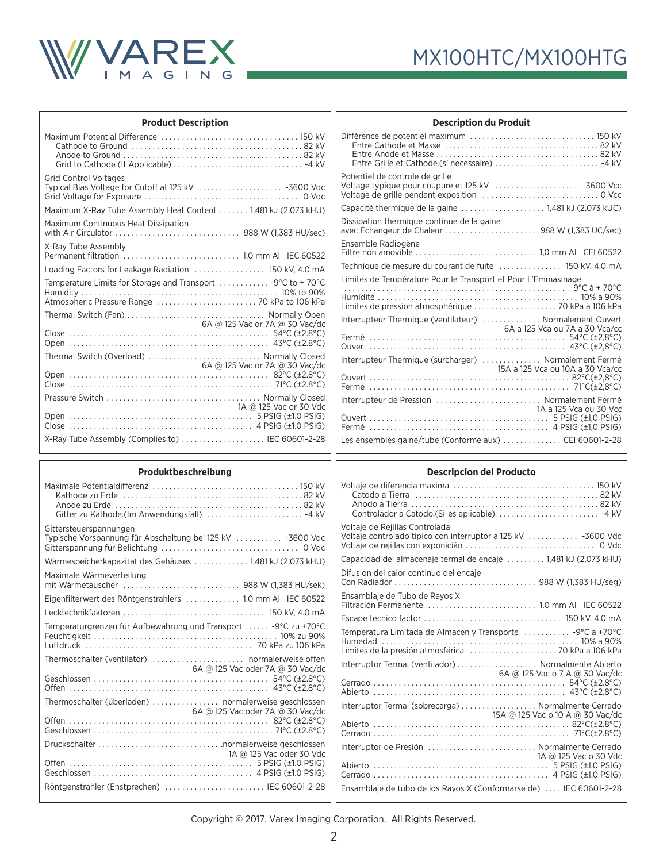

| <b>Product Description</b>                                                                                   |                                |  |
|--------------------------------------------------------------------------------------------------------------|--------------------------------|--|
|                                                                                                              |                                |  |
| <b>Grid Control Voltages</b><br>Typical Bias Voltage for Cutoff at 125 kV  -3600 Vdc                         |                                |  |
| Maximum X-Ray Tube Assembly Heat Content 1,481 kJ (2,073 kHU)                                                |                                |  |
| Maximum Continuous Heat Dissipation                                                                          |                                |  |
| X-Ray Tube Assembly                                                                                          |                                |  |
| Loading Factors for Leakage Radiation  150 kV, 4.0 mA                                                        |                                |  |
| Temperature Limits for Storage and Transport  -9°C to +70°C<br>Atmospheric Pressure Range  70 kPa to 106 kPa |                                |  |
|                                                                                                              |                                |  |
|                                                                                                              | 6A @ 125 Vac or 7A @ 30 Vac/dc |  |
| Thermal Switch (Overload)  Normally Closed                                                                   |                                |  |
|                                                                                                              | 6A @ 125 Vac or 7A @ 30 Vac/dc |  |
|                                                                                                              |                                |  |
|                                                                                                              | 1A @ 125 Vac or 30 Vdc         |  |
| X-Ray Tube Assembly (Complies to)  IEC 60601-2-28                                                            |                                |  |

| <b>Description du Produit</b>                                 |                                  |
|---------------------------------------------------------------|----------------------------------|
| Entre Grille et Cathode.(sí necessaire)  -4 kV                |                                  |
| Potentiel de controle de grille                               |                                  |
| Capacité thermique de la gaine  1,481 kJ (2,073 kUC)          |                                  |
| Dissipation thermique continue de la gaine                    |                                  |
| Ensemble Radiogène                                            |                                  |
| Technique de mesure du courant de fuite  150 kV, 4,0 mA       |                                  |
| Limites de Température Pour le Transport et Pour L'Emmasinage |                                  |
| Interrupteur Thermique (ventilateur)  Normalement Ouvert      | 6A a 125 Vca ou 7A a 30 Vca/cc   |
| Interrupteur Thermique (surcharger)  Normalement Fermé        | 15A a 125 Vca ou 10A a 30 Vca/cc |
|                                                               |                                  |
| Interrupteur de Pression  Normalement Fermé                   | 1A a 125 Vca ou 30 Vcc           |
| Les ensembles gaine/tube (Conforme aux) CEI 60601-2-28        |                                  |

#### **Produktbeschreibung**

#### **Descripcion del Producto**

| Produktbeschreibung                                             | <b>Descripcion del Producto</b>                                    |
|-----------------------------------------------------------------|--------------------------------------------------------------------|
|                                                                 |                                                                    |
|                                                                 |                                                                    |
|                                                                 |                                                                    |
| Gitter zu Kathode.(Im Anwendungsfall)  -4 kV                    |                                                                    |
| Gittersteuerspannungen                                          | Voltaje de Rejillas Controlada                                     |
| Typische Vorspannung für Abschaltung bei 125 kV  -3600 Vdc      | Voltaje controlado tipico con interruptor a 125 kV  -3600 Vdc      |
|                                                                 |                                                                    |
| Wärmespeicherkapazitat des Gehäuses  1,481 kJ (2,073 kHU)       | Capacidad del almacenaje termal de encaje  1,481 kJ (2,073 kHU)    |
| Maximale Wärmeverteilung                                        | Difusion del calor continuo del encaie                             |
| mit Wärmetauscher  988 W (1,383 HU/sek)                         |                                                                    |
| Eigenfilterwert des Röntgenstrahlers  1.0 mm Al IEC 60522       | Ensamblaje de Tubo de Rayos X                                      |
|                                                                 |                                                                    |
| Temperaturgrenzen für Aufbewahrung und Transport  -9°C zu +70°C | Temperatura Limitada de Almacen y Transporte  -9°C a +70°C         |
|                                                                 |                                                                    |
|                                                                 | Límites de la presión atmosférica  70 kPa a 106 kPa                |
| Thermoschalter (ventilator)  normalerweise offen                | Interruptor Termal (ventilador)  Normalmente Abierto               |
| 6A @ 125 Vac oder 7A @ 30 Vac/dc                                | 6A @ 125 Vac o 7 A @ 30 Vac/dc                                     |
|                                                                 |                                                                    |
|                                                                 |                                                                    |
| Thermoschalter (überladen)  normalerweise geschlossen           | Interruptor Termal (sobrecarga)  Normalmente Cerrado               |
| 6A @ 125 Vac oder 7A @ 30 Vac/dc                                | 15A @ 125 Vac o 10 A @ 30 Vac/dc                                   |
|                                                                 |                                                                    |
|                                                                 |                                                                    |
|                                                                 | Interruptor de Presión  Normalmente Cerrado                        |
| 1A @ 125 Vac oder 30 Vdc                                        | 1A @ 125 Vac o 30 Vdc                                              |
|                                                                 |                                                                    |
|                                                                 |                                                                    |
| Röntgenstrahler (Enstprechen)  IEC 60601-2-28                   | Ensamblaje de tubo de los Rayos X (Conformarse de)  IEC 60601-2-28 |
|                                                                 |                                                                    |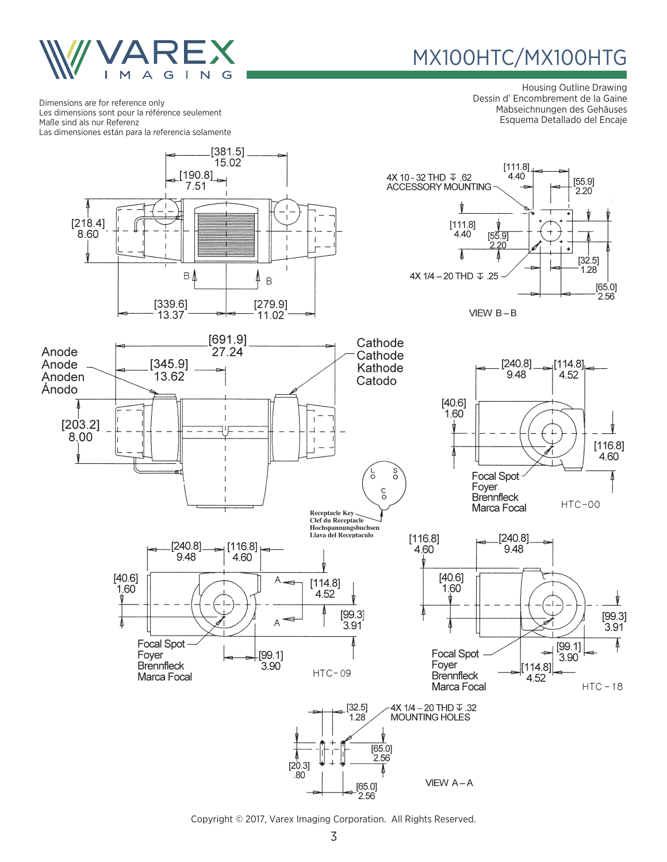

# MX100HTC/MX100HTG

Housing Outline Drawing Dessin d' Encombrement de la Gaine Mabseichnungen des Gehäuses Esquema Detallado del Encaje

Dimensions are for reference only Les dimensions sont pour la référence seulement Maße sind als nur Referenz Las dimensiones están para la referencia solamente

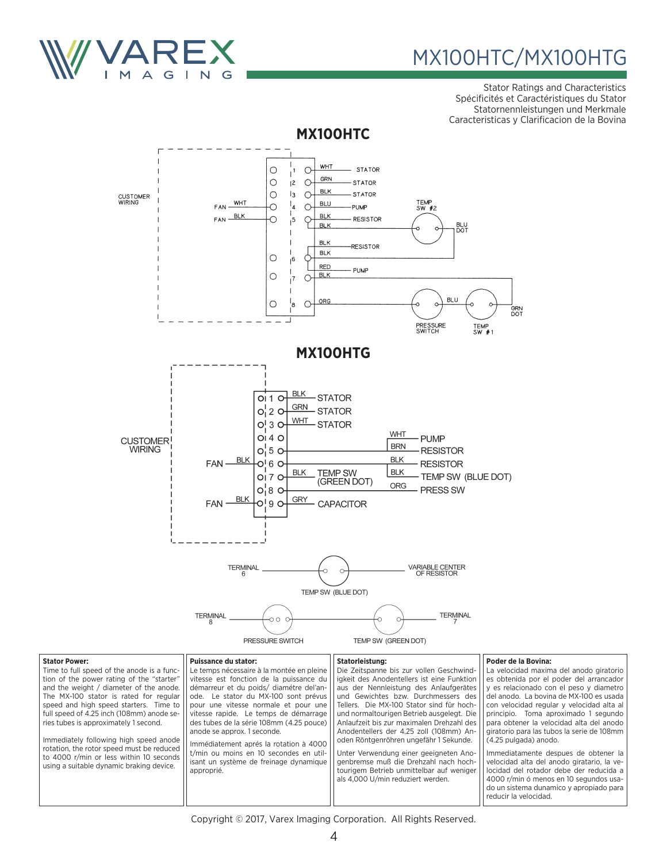

# MX100HTC/MX100HTG

Stator Ratings and Characteristics Spécificités et Caractéristiques du Stator Statornennleistungen und Merkmale Caracteristicas y Clarificacion de la Bovina



Immediately following high speed anode rotation, the rotor speed must be reduced to 4000 r/min or less within 10 seconds using a suitable dynamic braking device. anode se approx. 1 seconde. Immédiatement aprés la rotation à 4000 t/min ou moins en 10 secondes en utilisant un système de freinage dynamique approprié.

**Stator Power:** 

#### **Poder de la Bovina:**

La velocidad maxima del anodo giratorio es obtenida por el poder del arrancador y es relacionado con el peso y diametro del anodo. La bovina de MX-100 es usada con velocidad regular y velocidad alta al principio. Toma aproximado 1 segundo para obtener la velocidad alta del anodo giratorio para las tubos la serie de 108mm (4.25 pulgada) anodo.

Immediatamente despues de obtener la velocidad alta del anodo giratario, la velocidad del rotador debe der reducida a 4000 r/min ó menos en 10 segundos usado un sistema dunamico y apropiado para reducir la velocidad.

Copyright © 2017, Varex Imaging Corporation. All Rights Reserved.

Anodentellers der 4.25 zoll (108mm) Anoden Röntgenröhren ungefähr 1 Sekunde. Unter Verwendung einer geeigneten Anogenbremse muß die Drehzahl nach hochtourigem Betrieb unmittelbar auf weniger als 4,000 U/min reduziert werden.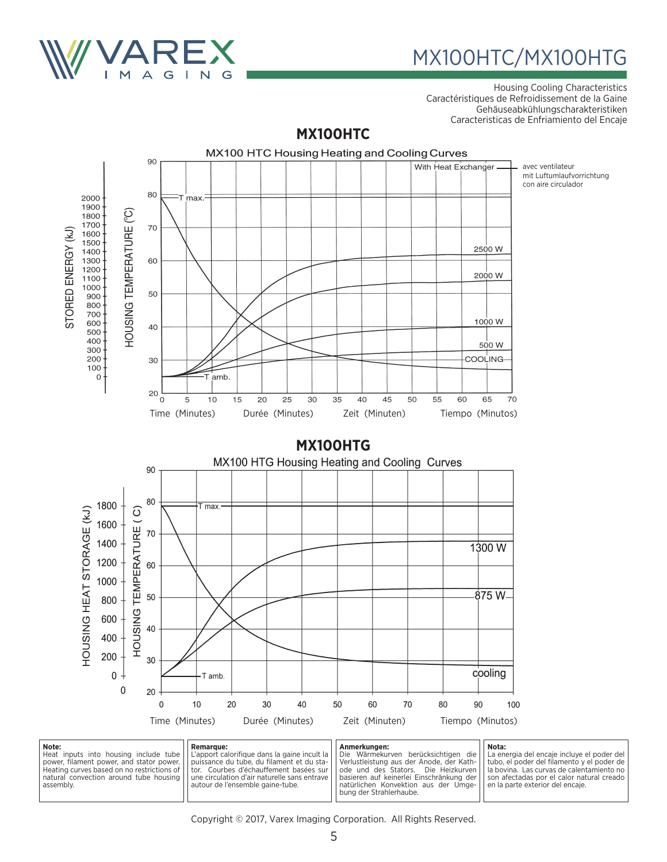

Housing Cooling Characteristics Caractéristiques de Refroidissement de la Gaine Gehäuseabkühlungscharakteristiken Caracteristicas de Enfriamiento del Encaje

### **MX100HTC**